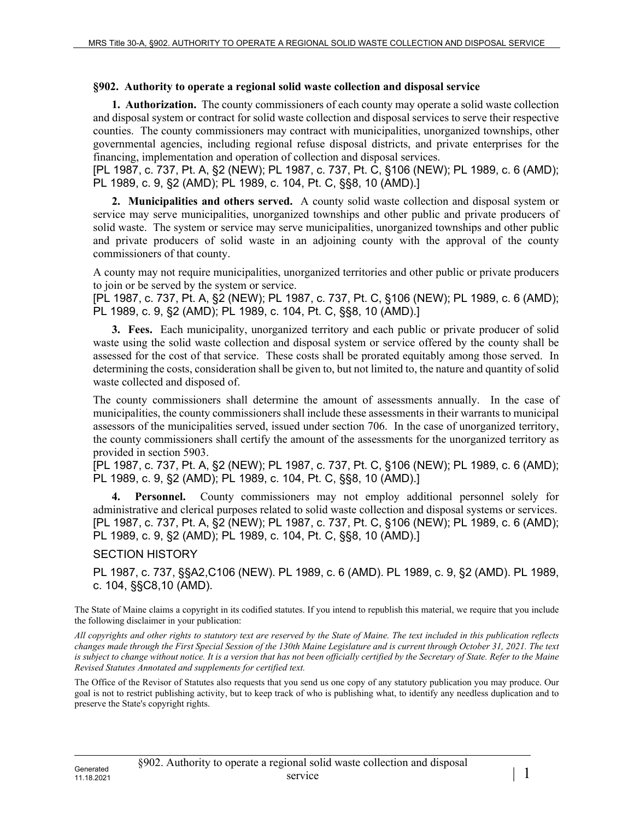## **§902. Authority to operate a regional solid waste collection and disposal service**

**1. Authorization.** The county commissioners of each county may operate a solid waste collection and disposal system or contract for solid waste collection and disposal services to serve their respective counties. The county commissioners may contract with municipalities, unorganized townships, other governmental agencies, including regional refuse disposal districts, and private enterprises for the financing, implementation and operation of collection and disposal services.

[PL 1987, c. 737, Pt. A, §2 (NEW); PL 1987, c. 737, Pt. C, §106 (NEW); PL 1989, c. 6 (AMD); PL 1989, c. 9, §2 (AMD); PL 1989, c. 104, Pt. C, §§8, 10 (AMD).]

**2. Municipalities and others served.** A county solid waste collection and disposal system or service may serve municipalities, unorganized townships and other public and private producers of solid waste. The system or service may serve municipalities, unorganized townships and other public and private producers of solid waste in an adjoining county with the approval of the county commissioners of that county.

A county may not require municipalities, unorganized territories and other public or private producers to join or be served by the system or service.

[PL 1987, c. 737, Pt. A, §2 (NEW); PL 1987, c. 737, Pt. C, §106 (NEW); PL 1989, c. 6 (AMD); PL 1989, c. 9, §2 (AMD); PL 1989, c. 104, Pt. C, §§8, 10 (AMD).]

**3. Fees.** Each municipality, unorganized territory and each public or private producer of solid waste using the solid waste collection and disposal system or service offered by the county shall be assessed for the cost of that service. These costs shall be prorated equitably among those served. In determining the costs, consideration shall be given to, but not limited to, the nature and quantity of solid waste collected and disposed of.

The county commissioners shall determine the amount of assessments annually. In the case of municipalities, the county commissioners shall include these assessments in their warrants to municipal assessors of the municipalities served, issued under section 706. In the case of unorganized territory, the county commissioners shall certify the amount of the assessments for the unorganized territory as provided in section 5903.

[PL 1987, c. 737, Pt. A, §2 (NEW); PL 1987, c. 737, Pt. C, §106 (NEW); PL 1989, c. 6 (AMD); PL 1989, c. 9, §2 (AMD); PL 1989, c. 104, Pt. C, §§8, 10 (AMD).]

**Personnel.** County commissioners may not employ additional personnel solely for administrative and clerical purposes related to solid waste collection and disposal systems or services. [PL 1987, c. 737, Pt. A, §2 (NEW); PL 1987, c. 737, Pt. C, §106 (NEW); PL 1989, c. 6 (AMD); PL 1989, c. 9, §2 (AMD); PL 1989, c. 104, Pt. C, §§8, 10 (AMD).]

## SECTION HISTORY

PL 1987, c. 737, §§A2,C106 (NEW). PL 1989, c. 6 (AMD). PL 1989, c. 9, §2 (AMD). PL 1989, c. 104, §§C8,10 (AMD).

The State of Maine claims a copyright in its codified statutes. If you intend to republish this material, we require that you include the following disclaimer in your publication:

*All copyrights and other rights to statutory text are reserved by the State of Maine. The text included in this publication reflects changes made through the First Special Session of the 130th Maine Legislature and is current through October 31, 2021. The text*  is subject to change without notice. It is a version that has not been officially certified by the Secretary of State. Refer to the Maine *Revised Statutes Annotated and supplements for certified text.*

The Office of the Revisor of Statutes also requests that you send us one copy of any statutory publication you may produce. Our goal is not to restrict publishing activity, but to keep track of who is publishing what, to identify any needless duplication and to preserve the State's copyright rights.